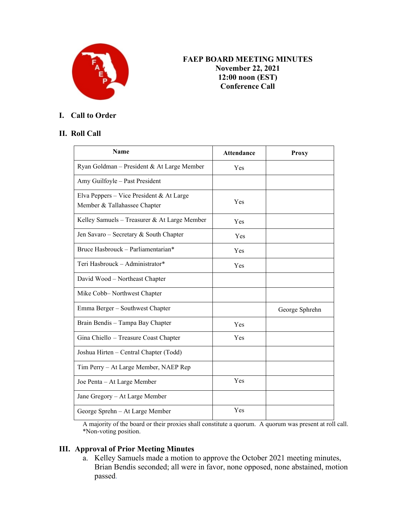

# **X FAEP BOARD MEETING MINUTES November 22, 2021 12:00 noon (EST) Conference Call**

# **I. Call to Order**

### **II. Roll Call**

| Name                                                                     | <b>Attendance</b> | <b>Proxy</b>   |
|--------------------------------------------------------------------------|-------------------|----------------|
| Ryan Goldman - President & At Large Member                               | Yes               |                |
| Amy Guilfoyle - Past President                                           |                   |                |
| Elva Peppers - Vice President & At Large<br>Member & Tallahassee Chapter | Yes               |                |
| Kelley Samuels - Treasurer & At Large Member                             | Yes               |                |
| Jen Savaro - Secretary & South Chapter                                   | Yes               |                |
| Bruce Hasbrouck - Parliamentarian*                                       | Yes               |                |
| Teri Hasbrouck – Administrator*                                          | Yes               |                |
| David Wood - Northeast Chapter                                           |                   |                |
| Mike Cobb-Northwest Chapter                                              |                   |                |
| Emma Berger - Southwest Chapter                                          |                   | George Sphrehn |
| Brain Bendis - Tampa Bay Chapter                                         | Yes               |                |
| Gina Chiello - Treasure Coast Chapter                                    | Yes               |                |
| Joshua Hirten – Central Chapter (Todd)                                   |                   |                |
| Tim Perry – At Large Member, NAEP Rep                                    |                   |                |
| Joe Penta - At Large Member                                              | Yes               |                |
| Jane Gregory - At Large Member                                           |                   |                |
| George Sprehn - At Large Member                                          | Yes               |                |

A majority of the board or their proxies shall constitute a quorum. A quorum was present at roll call. \*Non-voting position.

# **III. Approval of Prior Meeting Minutes**

a. Kelley Samuels made a motion to approve the October 2021 meeting minutes, Brian Bendis seconded; all were in favor, none opposed, none abstained, motion passed.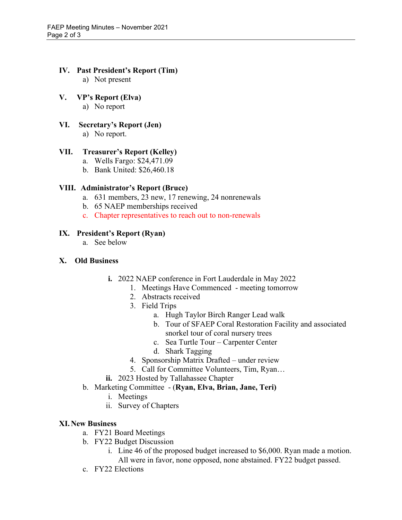# **IV. Past President's Report (Tim)**

a) Not present

### **V. VP's Report (Elva)**

a) No report

### **VI. Secretary's Report (Jen)**

a) No report.

## **VII. Treasurer's Report (Kelley)**

- a. Wells Fargo: \$24,471.09
- b. Bank United: \$26,460.18

# **VIII. Administrator's Report (Bruce)**

- a. 631 members, 23 new, 17 renewing, 24 nonrenewals
- b. 65 NAEP memberships received
- c. Chapter representatives to reach out to non-renewals

### **IX. President's Report (Ryan)**

a. See below

#### **X. Old Business**

- **i.** 2022 NAEP conference in Fort Lauderdale in May 2022
	- 1. Meetings Have Commenced meeting tomorrow
	- 2. Abstracts received
	- 3. Field Trips
		- a. Hugh Taylor Birch Ranger Lead walk
		- b. Tour of SFAEP Coral Restoration Facility and associated snorkel tour of coral nursery trees
		- c. Sea Turtle Tour Carpenter Center
		- d. Shark Tagging
	- 4. Sponsorship Matrix Drafted under review
	- 5. Call for Committee Volunteers, Tim, Ryan…
- **ii.** 2023 Hosted by Tallahassee Chapter
- b. Marketing Committee (**Ryan, Elva, Brian, Jane, Teri)**
	- i. Meetings
	- ii. Survey of Chapters

#### **XI.New Business**

- a. FY21 Board Meetings
- b. FY22 Budget Discussion
	- i. Line 46 of the proposed budget increased to \$6,000. Ryan made a motion. All were in favor, none opposed, none abstained. FY22 budget passed.
- c. FY22 Elections